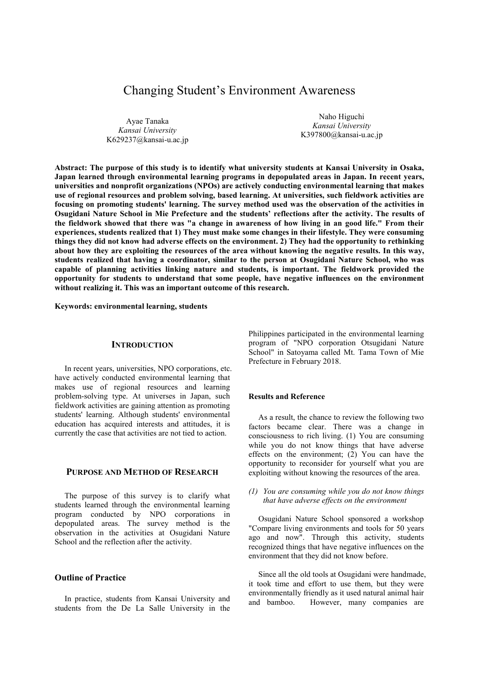# Changing Student's Environment Awareness

Ayae Tanaka *Kansai University* K629237@kansai-u.ac.jp

Naho Higuchi *Kansai University*  K397800@kansai-u.ac.jp

**Abstract: The purpose of this study is to identify what university students at Kansai University in Osaka, Japan learned through environmental learning programs in depopulated areas in Japan. In recent years, universities and nonprofit organizations (NPOs) are actively conducting environmental learning that makes use of regional resources and problem solving, based learning. At universities, such fieldwork activities are focusing on promoting students' learning. The survey method used was the observation of the activities in Osugidani Nature School in Mie Prefecture and the students' reflections after the activity. The results of the fieldwork showed that there was "a change in awareness of how living in an good life." From their experiences, students realized that 1) They must make some changes in their lifestyle. They were consuming things they did not know had adverse effects on the environment. 2) They had the opportunity to rethinking about how they are exploiting the resources of the area without knowing the negative results. In this way, students realized that having a coordinator, similar to the person at Osugidani Nature School, who was capable of planning activities linking nature and students, is important. The fieldwork provided the opportunity for students to understand that some people, have negative influences on the environment without realizing it. This was an important outcome of this research.** 

**Keywords: environmental learning, students** 

## **INTRODUCTION**

In recent years, universities, NPO corporations, etc. have actively conducted environmental learning that makes use of regional resources and learning problem-solving type. At universes in Japan, such fieldwork activities are gaining attention as promoting students' learning. Although students' environmental education has acquired interests and attitudes, it is currently the case that activities are not tied to action.

## **PURPOSE AND METHOD OF RESEARCH**

The purpose of this survey is to clarify what students learned through the environmental learning program conducted by NPO corporations in depopulated areas. The survey method is the observation in the activities at Osugidani Nature School and the reflection after the activity.

## **Outline of Practice**

In practice, students from Kansai University and students from the De La Salle University in the

Philippines participated in the environmental learning program of "NPO corporation Otsugidani Nature School" in Satoyama called Mt. Tama Town of Mie Prefecture in February 2018.

#### **Results and Reference**

As a result, the chance to review the following two factors became clear. There was a change in consciousness to rich living. (1) You are consuming while you do not know things that have adverse effects on the environment;  $(2)$  You can have the opportunity to reconsider for yourself what you are exploiting without knowing the resources of the area.

### *(1) You are consuming while you do not know things that have adverse effects on the environment*

Osugidani Nature School sponsored a workshop "Compare living environments and tools for 50 years ago and now". Through this activity, students recognized things that have negative influences on the environment that they did not know before.

Since all the old tools at Osugidani were handmade, it took time and effort to use them, but they were environmentally friendly as it used natural animal hair and bamboo. However, many companies are